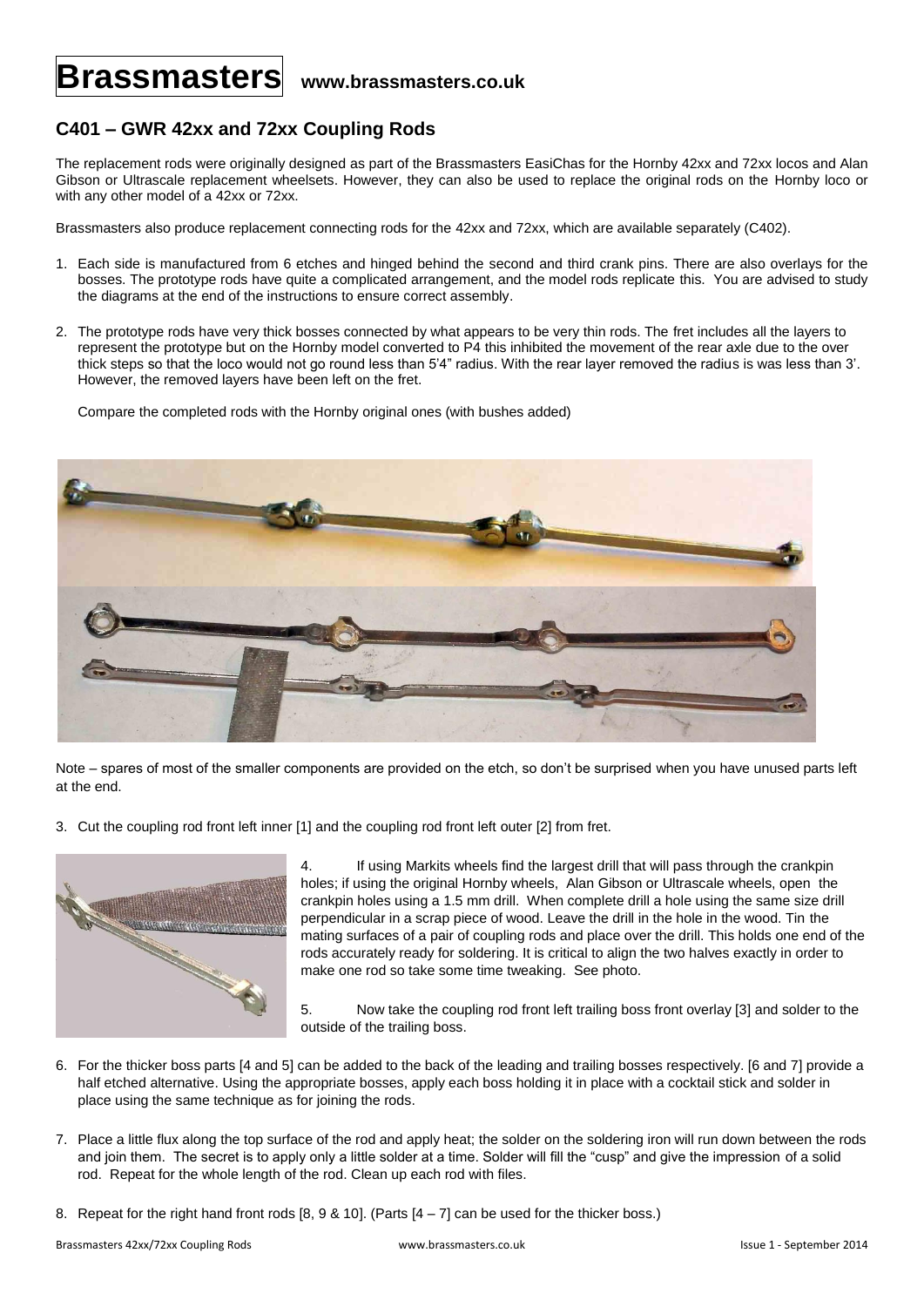## **Brassmasters www.brassmasters.co.uk**

## **C401 – GWR 42xx and 72xx Coupling Rods**

The replacement rods were originally designed as part of the Brassmasters EasiChas for the Hornby 42xx and 72xx locos and Alan Gibson or Ultrascale replacement wheelsets. However, they can also be used to replace the original rods on the Hornby loco or with any other model of a 42xx or 72xx.

Brassmasters also produce replacement connecting rods for the 42xx and 72xx, which are available separately (C402).

- 1. Each side is manufactured from 6 etches and hinged behind the second and third crank pins. There are also overlays for the bosses. The prototype rods have quite a complicated arrangement, and the model rods replicate this. You are advised to study the diagrams at the end of the instructions to ensure correct assembly.
- 2. The prototype rods have very thick bosses connected by what appears to be very thin rods. The fret includes all the layers to represent the prototype but on the Hornby model converted to P4 this inhibited the movement of the rear axle due to the over thick steps so that the loco would not go round less than 5'4" radius. With the rear layer removed the radius is was less than 3'. However, the removed layers have been left on the fret.

Compare the completed rods with the Hornby original ones (with bushes added)



Note – spares of most of the smaller components are provided on the etch, so don't be surprised when you have unused parts left at the end.

3. Cut the coupling rod front left inner [1] and the coupling rod front left outer [2] from fret.



4. If using Markits wheels find the largest drill that will pass through the crankpin holes; if using the original Hornby wheels, Alan Gibson or Ultrascale wheels, open the crankpin holes using a 1.5 mm drill. When complete drill a hole using the same size drill perpendicular in a scrap piece of wood. Leave the drill in the hole in the wood. Tin the mating surfaces of a pair of coupling rods and place over the drill. This holds one end of the rods accurately ready for soldering. It is critical to align the two halves exactly in order to make one rod so take some time tweaking. See photo.

5. Now take the coupling rod front left trailing boss front overlay [3] and solder to the outside of the trailing boss.

- 6. For the thicker boss parts [4 and 5] can be added to the back of the leading and trailing bosses respectively. [6 and 7] provide a half etched alternative. Using the appropriate bosses, apply each boss holding it in place with a cocktail stick and solder in place using the same technique as for joining the rods.
- 7. Place a little flux along the top surface of the rod and apply heat; the solder on the soldering iron will run down between the rods and join them. The secret is to apply only a little solder at a time. Solder will fill the "cusp" and give the impression of a solid rod. Repeat for the whole length of the rod. Clean up each rod with files.
- 8. Repeat for the right hand front rods  $[8, 9, 8, 10]$ . (Parts  $[4 7]$  can be used for the thicker boss.)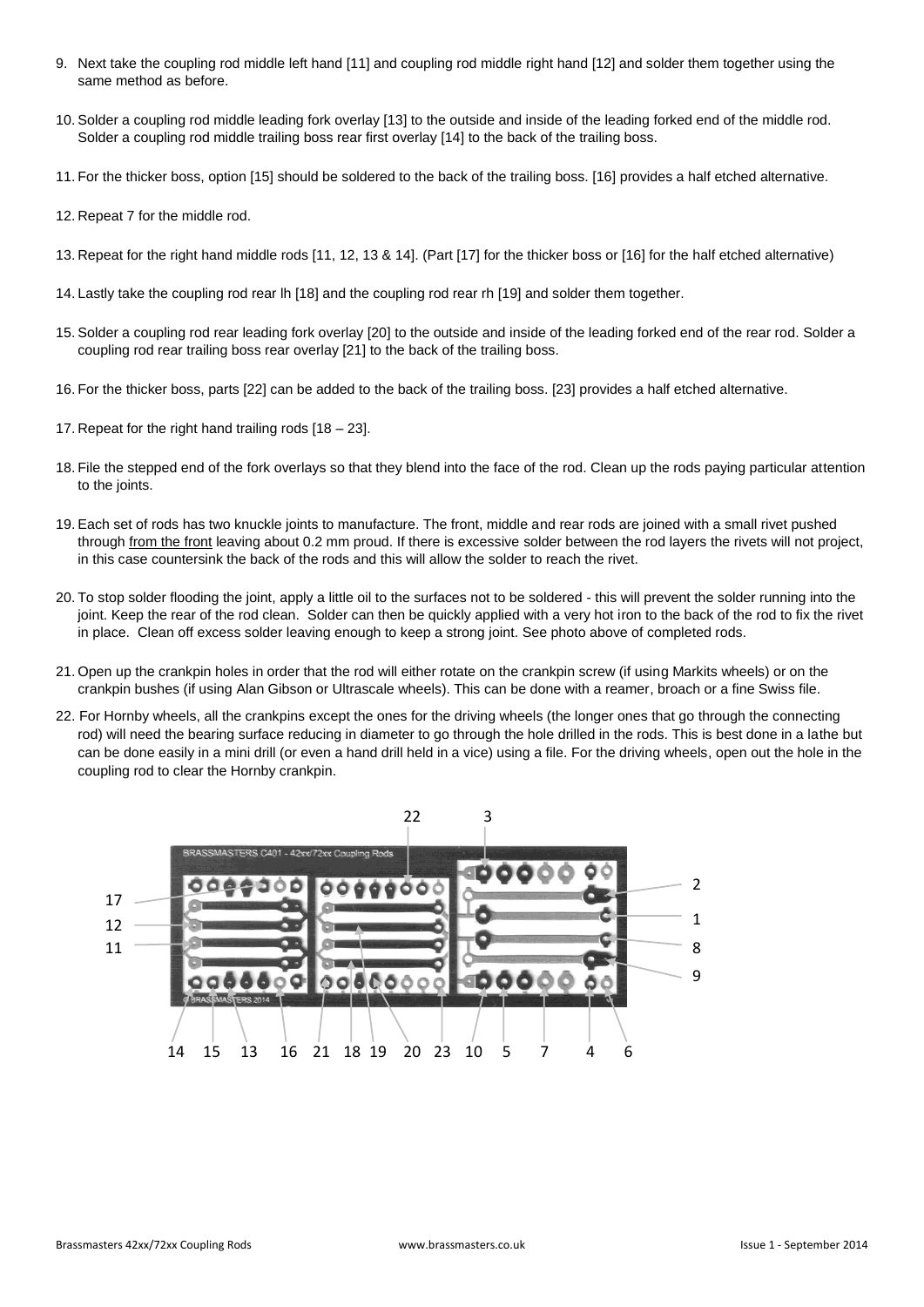- 9. Next take the coupling rod middle left hand [11] and coupling rod middle right hand [12] and solder them together using the same method as before.
- 10. Solder a coupling rod middle leading fork overlay [13] to the outside and inside of the leading forked end of the middle rod. Solder a coupling rod middle trailing boss rear first overlay [14] to the back of the trailing boss.
- 11. For the thicker boss, option [15] should be soldered to the back of the trailing boss. [16] provides a half etched alternative.
- 12. Repeat 7 for the middle rod.
- 13. Repeat for the right hand middle rods [11, 12, 13 & 14]. (Part [17] for the thicker boss or [16] for the half etched alternative)
- 14. Lastly take the coupling rod rear lh [18] and the coupling rod rear rh [19] and solder them together.
- 15. Solder a coupling rod rear leading fork overlay [20] to the outside and inside of the leading forked end of the rear rod. Solder a coupling rod rear trailing boss rear overlay [21] to the back of the trailing boss.
- 16. For the thicker boss, parts [22] can be added to the back of the trailing boss. [23] provides a half etched alternative.
- 17. Repeat for the right hand trailing rods [18 23].
- 18. File the stepped end of the fork overlays so that they blend into the face of the rod. Clean up the rods paying particular attention to the joints.
- 19. Each set of rods has two knuckle joints to manufacture. The front, middle and rear rods are joined with a small rivet pushed through from the front leaving about 0.2 mm proud. If there is excessive solder between the rod layers the rivets will not project, in this case countersink the back of the rods and this will allow the solder to reach the rivet.
- 20. To stop solder flooding the joint, apply a little oil to the surfaces not to be soldered this will prevent the solder running into the joint. Keep the rear of the rod clean. Solder can then be quickly applied with a very hot iron to the back of the rod to fix the rivet in place. Clean off excess solder leaving enough to keep a strong joint. See photo above of completed rods.
- 21. Open up the crankpin holes in order that the rod will either rotate on the crankpin screw (if using Markits wheels) or on the crankpin bushes (if using Alan Gibson or Ultrascale wheels). This can be done with a reamer, broach or a fine Swiss file.
- 22. For Hornby wheels, all the crankpins except the ones for the driving wheels (the longer ones that go through the connecting rod) will need the bearing surface reducing in diameter to go through the hole drilled in the rods. This is best done in a lathe but can be done easily in a mini drill (or even a hand drill held in a vice) using a file. For the driving wheels, open out the hole in the coupling rod to clear the Hornby crankpin.